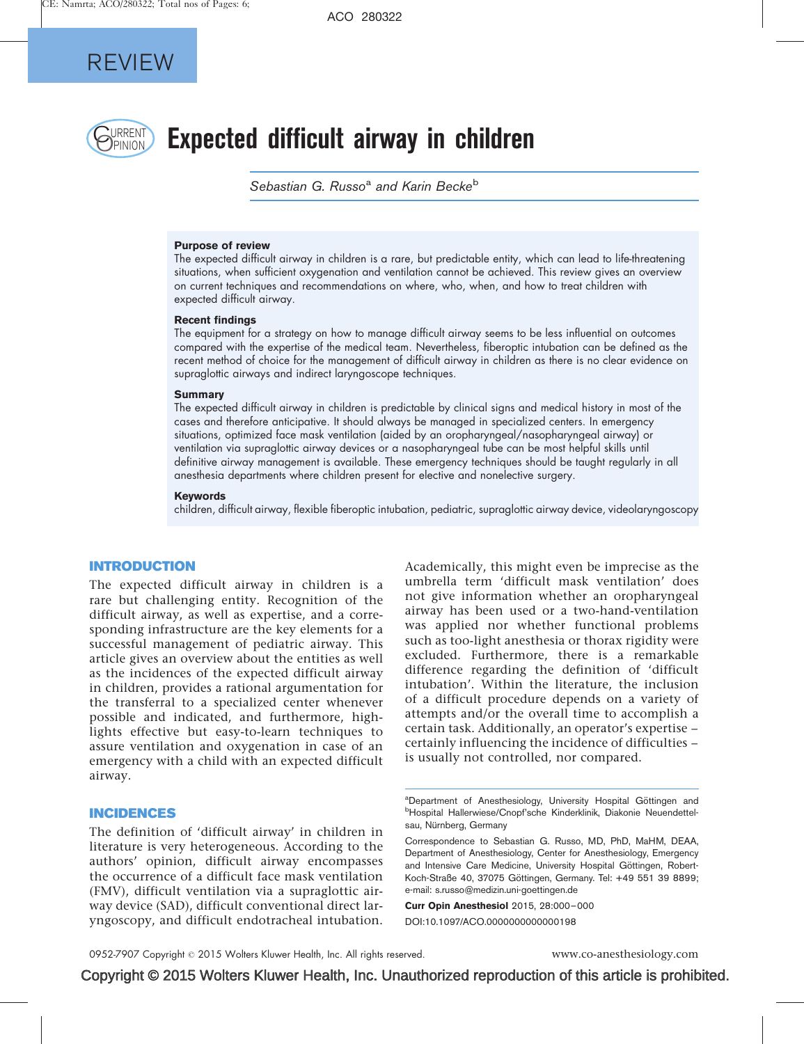

# URRENT Expected difficult airway in children

Sebastian G. Russo<sup>a</sup> and Karin Becke<sup>b</sup>

# Purpose of review

The expected difficult airway in children is a rare, but predictable entity, which can lead to life-threatening situations, when sufficient oxygenation and ventilation cannot be achieved. This review gives an overview on current techniques and recommendations on where, who, when, and how to treat children with expected difficult airway.

#### Recent findings

The equipment for a strategy on how to manage difficult airway seems to be less influential on outcomes compared with the expertise of the medical team. Nevertheless, fiberoptic intubation can be defined as the recent method of choice for the management of difficult airway in children as there is no clear evidence on supraglottic airways and indirect laryngoscope techniques.

#### Summary

The expected difficult airway in children is predictable by clinical signs and medical history in most of the cases and therefore anticipative. It should always be managed in specialized centers. In emergency situations, optimized face mask ventilation (aided by an oropharyngeal/nasopharyngeal airway) or ventilation via supraglottic airway devices or a nasopharyngeal tube can be most helpful skills until definitive airway management is available. These emergency techniques should be taught regularly in all anesthesia departments where children present for elective and nonelective surgery.

#### Keywords

children, difficult airway, flexible fiberoptic intubation, pediatric, supraglottic airway device, videolaryngoscopy

#### INTRODUCTION

The expected difficult airway in children is a rare but challenging entity. Recognition of the difficult airway, as well as expertise, and a corresponding infrastructure are the key elements for a successful management of pediatric airway. This article gives an overview about the entities as well as the incidences of the expected difficult airway in children, provides a rational argumentation for the transferral to a specialized center whenever possible and indicated, and furthermore, highlights effective but easy-to-learn techniques to assure ventilation and oxygenation in case of an emergency with a child with an expected difficult airway.

### INCIDENCES

The definition of 'difficult airway' in children in literature is very heterogeneous. According to the authors' opinion, difficult airway encompasses the occurrence of a difficult face mask ventilation (FMV), difficult ventilation via a supraglottic airway device (SAD), difficult conventional direct laryngoscopy, and difficult endotracheal intubation. Academically, this might even be imprecise as the umbrella term 'difficult mask ventilation' does not give information whether an oropharyngeal airway has been used or a two-hand-ventilation was applied nor whether functional problems such as too-light anesthesia or thorax rigidity were excluded. Furthermore, there is a remarkable difference regarding the definition of 'difficult intubation'. Within the literature, the inclusion of a difficult procedure depends on a variety of attempts and/or the overall time to accomplish a certain task. Additionally, an operator's expertise – certainly influencing the incidence of difficulties – is usually not controlled, nor compared.

Curr Opin Anesthesiol 2015, 28:000–000 DOI:10.1097/ACO.0000000000000198

a<br>Department of Anesthesiology, University Hospital Göttingen and<br>PHospital Hallenvisse/Chopfische Kinderklinik Dickopie Neuendettel Hospital Hallerwiese/Cnopf'sche Kinderklinik, Diakonie Neuendettelsau, Nürnberg, Germany

Correspondence to Sebastian G. Russo, MD, PhD, MaHM, DEAA, Department of Anesthesiology, Center for Anesthesiology, Emergency and Intensive Care Medicine, University Hospital Göttingen, Robert-Koch-Straße 40, 37075 Göttingen, Germany, Tel: +49 551 39 8899; e-mail: [s.russo@medizin.uni-goettingen.de](mailto:s.russo@medizin.uni-goettingen.de)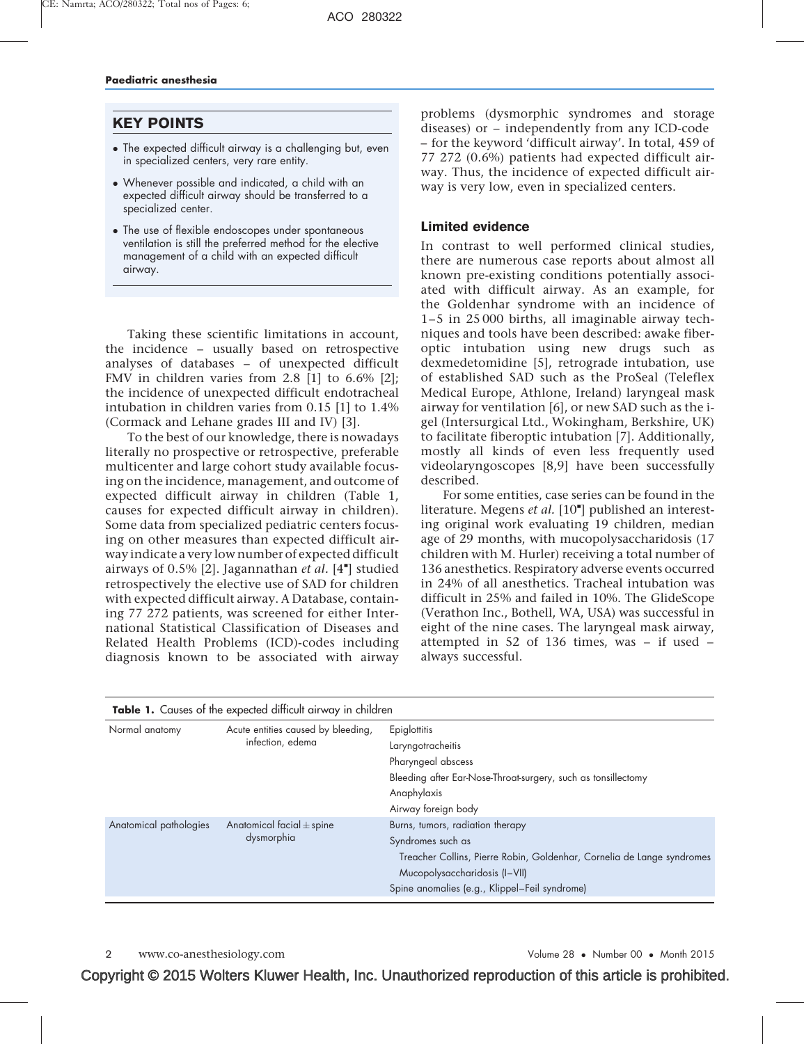# KEY POINTS

- The expected difficult airway is a challenging but, even in specialized centers, very rare entity.
- Whenever possible and indicated, a child with an expected difficult airway should be transferred to a specialized center.
- The use of flexible endoscopes under spontaneous ventilation is still the preferred method for the elective management of a child with an expected difficult airway.

Taking these scientific limitations in account, the incidence – usually based on retrospective analyses of databases – of unexpected difficult FMV in children varies from 2.8 [\[1\]](#page-4-0) to 6.6% [\[2\];](#page-5-0) the incidence of unexpected difficult endotracheal intubation in children varies from 0.15 [\[1\]](#page-4-0) to 1.4% (Cormack and Lehane grades III and IV) [\[3\].](#page-5-0)

To the best of our knowledge, there is nowadays literally no prospective or retrospective, preferable multicenter and large cohort study available focusing on the incidence, management, and outcome of expected difficult airway in children (Table 1, causes for expected difficult airway in children). Some data from specialized pediatric centers focusing on other measures than expected difficult airway indicate a very low number of expected difficult airways of 0.5% [\[2\]](#page-5-0). Jagannathan et al. [\[4](#page-5-0)"[\]](#page-5-0) studied retrospectively the elective use of SAD for children with expected difficult airway. A Database, containing 77 272 patients, was screened for either International Statistical Classification of Diseases and Related Health Problems (ICD)-codes including diagnosis known to be associated with airway

problems (dysmorphic syndromes and storage diseases) or – independently from any ICD-code – for the keyword 'difficult airway'. In total, 459 of 77 272 (0.6%) patients had expected difficult airway. Thus, the incidence of expected difficult airway is very low, even in specialized centers.

# Limited evidence

In contrast to well performed clinical studies, there are numerous case reports about almost all known pre-existing conditions potentially associated with difficult airway. As an example, for the Goldenhar syndrome with an incidence of 1–5 in 25 000 births, all imaginable airway techniques and tools have been described: awake fiberoptic intubation using new drugs such as dexmedetomidine [\[5\],](#page-5-0) retrograde intubation, use of established SAD such as the ProSeal (Teleflex Medical Europe, Athlone, Ireland) laryngeal mask airway for ventilation [\[6\],](#page-5-0) or new SAD such as the igel (Intersurgical Ltd., Wokingham, Berkshire, UK) to facilitate fiberoptic intubation [\[7\].](#page-5-0) Additionally, mostly all kinds of even less frequently used videolaryngoscopes [\[8,9\]](#page-5-0) have been successfully described.

For some entities, case series can be found in the literature. Megens et al. [\[10](#page-5-0)"[\]](#page-5-0) published an interesting original work evaluating 19 children, median age of 29 months, with mucopolysaccharidosis (17 children with M. Hurler) receiving a total number of 136 anesthetics. Respiratory adverse events occurred in 24% of all anesthetics. Tracheal intubation was difficult in 25% and failed in 10%. The GlideScope (Verathon Inc., Bothell, WA, USA) was successful in eight of the nine cases. The laryngeal mask airway, attempted in 52 of 136 times, was – if used – always successful.

| Table 1. Causes of the expected difficult airway in children          |                                                        |                                                                                                                                                                                                                   |  |  |  |  |
|-----------------------------------------------------------------------|--------------------------------------------------------|-------------------------------------------------------------------------------------------------------------------------------------------------------------------------------------------------------------------|--|--|--|--|
| Normal anatomy                                                        | Acute entities caused by bleeding,<br>infection, edema | Epiglottitis<br>Laryngotracheitis<br>Pharyngeal abscess<br>Bleeding after Ear-Nose-Throat-surgery, such as tonsillectomy<br>Anaphylaxis<br>Airway foreign body                                                    |  |  |  |  |
| Anatomical facial $\pm$ spine<br>Anatomical pathologies<br>dysmorphia |                                                        | Burns, tumors, radiation therapy<br>Syndromes such as<br>Treacher Collins, Pierre Robin, Goldenhar, Cornelia de Lange syndromes<br>Mucopolysaccharidosis (I-VII)<br>Spine anomalies (e.g., Klippel–Feil syndrome) |  |  |  |  |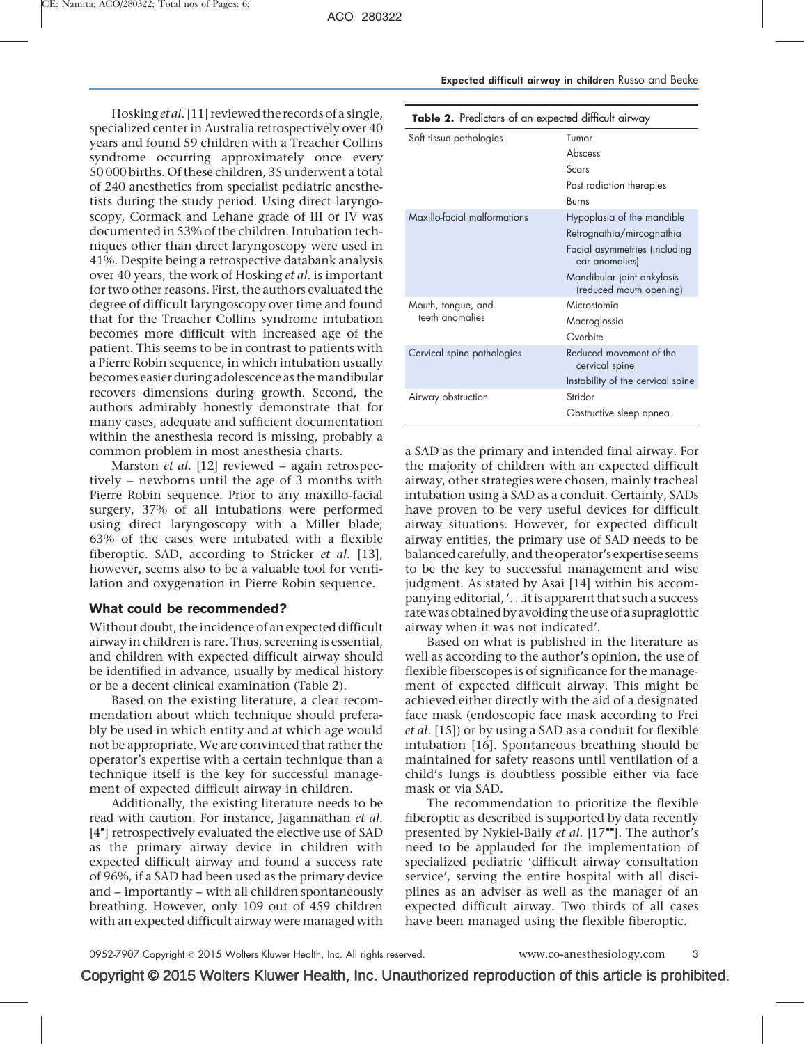Hosking et al. [\[11\]](#page-5-0) reviewed the records of a single, specialized center in Australia retrospectively over 40 years and found 59 children with a Treacher Collins syndrome occurring approximately once every 50 000 births. Of these children, 35 underwent a total of 240 anesthetics from specialist pediatric anesthetists during the study period. Using direct laryngoscopy, Cormack and Lehane grade of III or IV was documented in 53% of the children. Intubation techniques other than direct laryngoscopy were used in 41%. Despite being a retrospective databank analysis over 40 years, the work of Hosking et al. is important for two other reasons. First, the authors evaluated the degree of difficult laryngoscopy over time and found that for the Treacher Collins syndrome intubation becomes more difficult with increased age of the patient. This seems to be in contrast to patients with a Pierre Robin sequence, in which intubation usually becomes easier during adolescence as the mandibular recovers dimensions during growth. Second, the authors admirably honestly demonstrate that for many cases, adequate and sufficient documentation within the anesthesia record is missing, probably a common problem in most anesthesia charts.

Marston et al. [\[12\]](#page-5-0) reviewed - again retrospectively – newborns until the age of 3 months with Pierre Robin sequence. Prior to any maxillo-facial surgery, 37% of all intubations were performed using direct laryngoscopy with a Miller blade; 63% of the cases were intubated with a flexible fiberoptic. SAD, according to Stricker et al. [\[13\]](#page-5-0), however, seems also to be a valuable tool for ventilation and oxygenation in Pierre Robin sequence.

#### What could be recommended?

Without doubt, the incidence of an expected difficult airway in children is rare. Thus, screening is essential, and children with expected difficult airway should be identified in advance, usually by medical history or be a decent clinical examination (Table 2).

Based on the existing literature, a clear recommendation about which technique should preferably be used in which entity and at which age would not be appropriate. We are convinced that rather the operator's expertise with a certain technique than a technique itself is the key for successful management of expected difficult airway in children.

Additionally, the existing literature needs to be read with caution. For instance, Jagannathan et al. [\[4](#page-5-0)"[\]](#page-5-0) retrospectively evaluated the elective use of SAD as the primary airway device in children with expected difficult airway and found a success rate of 96%, if a SAD had been used as the primary device and – importantly – with all children spontaneously breathing. However, only 109 out of 459 children with an expected difficult airway were managed with

|  |  |  | <b>Table 2.</b> Predictors of an expected difficult airway |  |  |  |  |  |  |
|--|--|--|------------------------------------------------------------|--|--|--|--|--|--|
|--|--|--|------------------------------------------------------------|--|--|--|--|--|--|

| Soft tissue pathologies      | Tumor                                                 |
|------------------------------|-------------------------------------------------------|
|                              | Abscess                                               |
|                              | Scars                                                 |
|                              | Past radiation therapies                              |
|                              | Burns                                                 |
| Maxillo-facial malformations | Hypoplasia of the mandible                            |
|                              | Retrognathia/mircognathia                             |
|                              | Facial asymmetries (including<br>ear anomalies)       |
|                              | Mandibular joint ankylosis<br>(reduced mouth opening) |
| Mouth, tongue, and           | Microstomia                                           |
| teeth anomalies              | Macroglossia                                          |
|                              | Overbite                                              |
| Cervical spine pathologies   | Reduced movement of the<br>cervical spine             |
|                              | Instability of the cervical spine                     |
| Airway obstruction           | Stridor                                               |
|                              | Obstructive sleep apnea                               |

a SAD as the primary and intended final airway. For the majority of children with an expected difficult airway, other strategies were chosen, mainly tracheal intubation using a SAD as a conduit. Certainly, SADs have proven to be very useful devices for difficult airway situations. However, for expected difficult airway entities, the primary use of SAD needs to be balanced carefully, and the operator's expertise seems to be the key to successful management and wise judgment. As stated by Asai [\[14\]](#page-5-0) within his accompanying editorial, '...it is apparent that such a success rate was obtained by avoiding the use of a supraglottic airway when it was not indicated'.

Based on what is published in the literature as well as according to the author's opinion, the use of flexible fiberscopes is of significance for the management of expected difficult airway. This might be achieved either directly with the aid of a designated face mask (endoscopic face mask according to Frei et al. [\[15\]\)](#page-5-0) or by using a SAD as a conduit for flexible intubation [\[16\].](#page-5-0) Spontaneous breathing should be maintained for safety reasons until ventilation of a child's lungs is doubtless possible either via face mask or via SAD.

The recommendation to prioritize the flexible fiberoptic as described is supported by data recently presented by Nykiel-Baily et al.  $[17"']$  $[17"']$ . The author's need to be applauded for the implementation of specialized pediatric 'difficult airway consultation service', serving the entire hospital with all disciplines as an adviser as well as the manager of an expected difficult airway. Two thirds of all cases have been managed using the flexible fiberoptic.

0952-7907 Copyright © 2015 Wolters Kluwer Health, Inc. All rights reserved. www.co-anesthesiology.com 3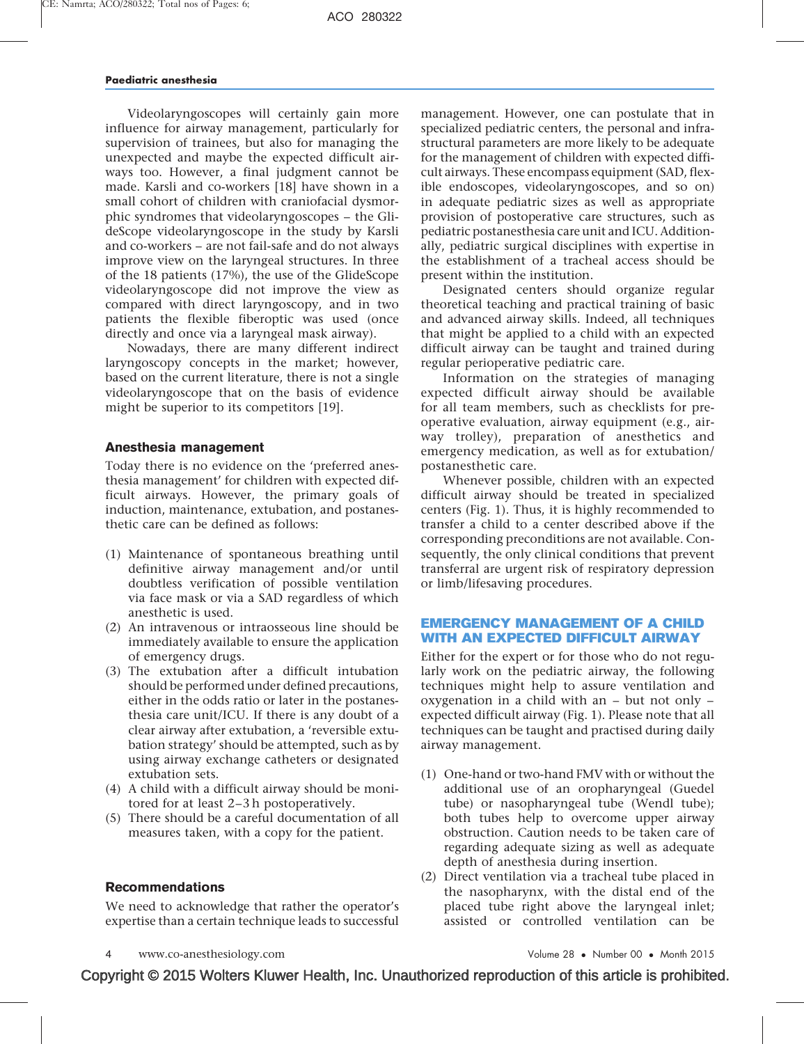Videolaryngoscopes will certainly gain more influence for airway management, particularly for supervision of trainees, but also for managing the unexpected and maybe the expected difficult airways too. However, a final judgment cannot be made. Karsli and co-workers [\[18\]](#page-5-0) have shown in a small cohort of children with craniofacial dysmorphic syndromes that videolaryngoscopes – the GlideScope videolaryngoscope in the study by Karsli and co-workers – are not fail-safe and do not always improve view on the laryngeal structures. In three of the 18 patients (17%), the use of the GlideScope videolaryngoscope did not improve the view as compared with direct laryngoscopy, and in two patients the flexible fiberoptic was used (once directly and once via a laryngeal mask airway).

Nowadays, there are many different indirect laryngoscopy concepts in the market; however, based on the current literature, there is not a single videolaryngoscope that on the basis of evidence might be superior to its competitors [\[19\]](#page-5-0).

#### Anesthesia management

Today there is no evidence on the 'preferred anesthesia management' for children with expected difficult airways. However, the primary goals of induction, maintenance, extubation, and postanesthetic care can be defined as follows:

- (1) Maintenance of spontaneous breathing until definitive airway management and/or until doubtless verification of possible ventilation via face mask or via a SAD regardless of which anesthetic is used.
- (2) An intravenous or intraosseous line should be immediately available to ensure the application of emergency drugs.
- (3) The extubation after a difficult intubation should be performed under defined precautions, either in the odds ratio or later in the postanesthesia care unit/ICU. If there is any doubt of a clear airway after extubation, a 'reversible extubation strategy' should be attempted, such as by using airway exchange catheters or designated extubation sets.
- (4) A child with a difficult airway should be monitored for at least 2–3 h postoperatively.
- (5) There should be a careful documentation of all measures taken, with a copy for the patient.

# Recommendations

We need to acknowledge that rather the operator's expertise than a certain technique leads to successful management. However, one can postulate that in specialized pediatric centers, the personal and infrastructural parameters are more likely to be adequate for the management of children with expected difficult airways. These encompass equipment (SAD, flexible endoscopes, videolaryngoscopes, and so on) in adequate pediatric sizes as well as appropriate provision of postoperative care structures, such as pediatric postanesthesia care unit and ICU. Additionally, pediatric surgical disciplines with expertise in the establishment of a tracheal access should be present within the institution.

Designated centers should organize regular theoretical teaching and practical training of basic and advanced airway skills. Indeed, all techniques that might be applied to a child with an expected difficult airway can be taught and trained during regular perioperative pediatric care.

Information on the strategies of managing expected difficult airway should be available for all team members, such as checklists for preoperative evaluation, airway equipment (e.g., airway trolley), preparation of anesthetics and emergency medication, as well as for extubation/ postanesthetic care.

Whenever possible, children with an expected difficult airway should be treated in specialized centers (Fig. 1). Thus, it is highly recommended to transfer a child to a center described above if the corresponding preconditions are not available. Consequently, the only clinical conditions that prevent transferral are urgent risk of respiratory depression or limb/lifesaving procedures.

# EMERGENCY MANAGEMENT OF A CHILD WITH AN EXPECTED DIFFICULT AIRWAY

Either for the expert or for those who do not regularly work on the pediatric airway, the following techniques might help to assure ventilation and oxygenation in a child with an – but not only – expected difficult airway (Fig. 1). Please note that all techniques can be taught and practised during daily airway management.

- (1) One-hand or two-hand FMV with or without the additional use of an oropharyngeal (Guedel tube) or nasopharyngeal tube (Wendl tube); both tubes help to overcome upper airway obstruction. Caution needs to be taken care of regarding adequate sizing as well as adequate depth of anesthesia during insertion.
- (2) Direct ventilation via a tracheal tube placed in the nasopharynx, with the distal end of the placed tube right above the laryngeal inlet; assisted or controlled ventilation can be

www.co-anesthesiology.com

• Number 00 • Month 2015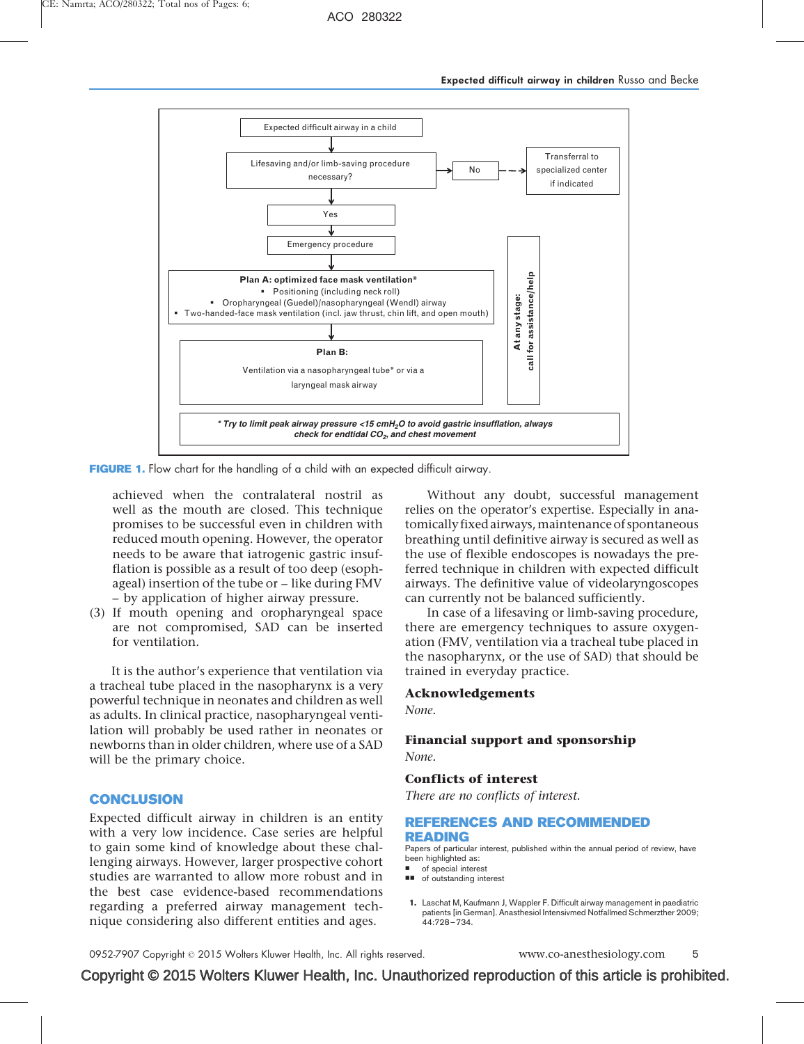<span id="page-4-0"></span>

FIGURE 1. Flow chart for the handling of a child with an expected difficult airway.

achieved when the contralateral nostril as well as the mouth are closed. This technique promises to be successful even in children with reduced mouth opening. However, the operator needs to be aware that iatrogenic gastric insufflation is possible as a result of too deep (esophageal) insertion of the tube or – like during FMV – by application of higher airway pressure.

(3) If mouth opening and oropharyngeal space are not compromised, SAD can be inserted for ventilation.

It is the author's experience that ventilation via a tracheal tube placed in the nasopharynx is a very powerful technique in neonates and children as well as adults. In clinical practice, nasopharyngeal ventilation will probably be used rather in neonates or newborns than in older children, where use of a SAD will be the primary choice.

#### **CONCLUSION**

Expected difficult airway in children is an entity with a very low incidence. Case series are helpful to gain some kind of knowledge about these challenging airways. However, larger prospective cohort studies are warranted to allow more robust and in the best case evidence-based recommendations regarding a preferred airway management technique considering also different entities and ages.

Without any doubt, successful management relies on the operator's expertise. Especially in anatomically fixed airways, maintenance of spontaneous breathing until definitive airway is secured as well as the use of flexible endoscopes is nowadays the preferred technique in children with expected difficult airways. The definitive value of videolaryngoscopes can currently not be balanced sufficiently.

In case of a lifesaving or limb-saving procedure, there are emergency techniques to assure oxygenation (FMV, ventilation via a tracheal tube placed in the nasopharynx, or the use of SAD) that should be trained in everyday practice.

#### Acknowledgements

None.

# Financial support and sponsorship None.

# Conflicts of interest

There are no conflicts of interest.

#### REFERENCES AND RECOMMENDED READING

Papers of particular interest, published within the annual period of review, have been highlighted as:

- of special interest
- **B** of outstanding interest
- 1. Laschat M, Kaufmann J, Wappler F. Difficult airway management in paediatric patients [in German]. Anasthesiol Intensivmed Notfallmed Schmerzther 2009; .<br>44:728–734.

0952-7907 Copyright © 2015 Wolters Kluwer Health, Inc. All rights reserved. www.co-anesthesiology.com 5